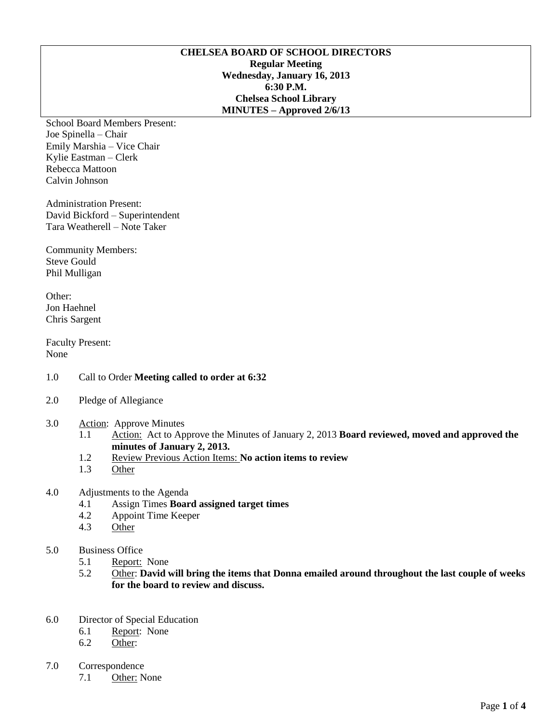# **CHELSEA BOARD OF SCHOOL DIRECTORS Regular Meeting Wednesday, January 16, 2013 6:30 P.M. Chelsea School Library MINUTES – Approved 2/6/13**

School Board Members Present: Joe Spinella – Chair Emily Marshia – Vice Chair Kylie Eastman – Clerk Rebecca Mattoon Calvin Johnson

Administration Present: David Bickford – Superintendent Tara Weatherell – Note Taker

Community Members: Steve Gould Phil Mulligan

Other: Jon Haehnel Chris Sargent

Faculty Present: None

- 1.0 Call to Order **Meeting called to order at 6:32**
- 2.0 Pledge of Allegiance
- 3.0 Action: Approve Minutes
	- 1.1 Action: Act to Approve the Minutes of January 2, 2013 **Board reviewed, moved and approved the minutes of January 2, 2013.**
	- 1.2 Review Previous Action Items: **No action items to review**
	- 1.3 Other

#### 4.0 Adjustments to the Agenda

- 4.1 Assign Times **Board assigned target times**
- 4.2 Appoint Time Keeper
- 4.3 Other

#### 5.0 Business Office

- 5.1 Report: None<br>5.2 Other: David
- 5.2 Other: **David will bring the items that Donna emailed around throughout the last couple of weeks for the board to review and discuss.**
- 6.0 Director of Special Education
	- 6.1 Report: None
	- 6.2 Other:
- 7.0 Correspondence
	- 7.1 Other: None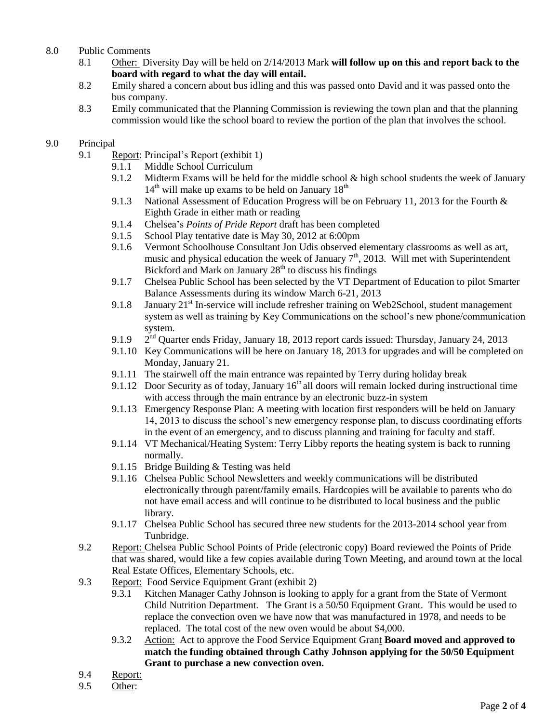# 8.0 Public Comments

- 8.1 Other: Diversity Day will be held on 2/14/2013 Mark **will follow up on this and report back to the board with regard to what the day will entail.**
- 8.2 Emily shared a concern about bus idling and this was passed onto David and it was passed onto the bus company.
- 8.3 Emily communicated that the Planning Commission is reviewing the town plan and that the planning commission would like the school board to review the portion of the plan that involves the school.

# 9.0 Principal

- 9.1 Report: Principal's Report (exhibit 1)
	- 9.1.1 Middle School Curriculum
	- 9.1.2 Midterm Exams will be held for the middle school & high school students the week of January  $14<sup>th</sup>$  will make up exams to be held on January  $18<sup>th</sup>$
	- 9.1.3 National Assessment of Education Progress will be on February 11, 2013 for the Fourth & Eighth Grade in either math or reading
	- 9.1.4 Chelsea's *Points of Pride Report* draft has been completed
	- 9.1.5 School Play tentative date is May 30, 2012 at 6:00pm
	- 9.1.6 Vermont Schoolhouse Consultant Jon Udis observed elementary classrooms as well as art, music and physical education the week of January  $7<sup>th</sup>$ , 2013. Will met with Superintendent Bickford and Mark on January  $28<sup>th</sup>$  to discuss his findings
	- 9.1.7 Chelsea Public School has been selected by the VT Department of Education to pilot Smarter Balance Assessments during its window March 6-21, 2013
	- 9.1.8 January  $21<sup>st</sup>$  In-service will include refresher training on Web2School, student management system as well as training by Key Communications on the school's new phone/communication system.
	- 9.1.9 2 2<sup>nd</sup> Ouarter ends Friday, January 18, 2013 report cards issued: Thursday, January 24, 2013
	- 9.1.10 Key Communications will be here on January 18, 2013 for upgrades and will be completed on Monday, January 21.
	- 9.1.11 The stairwell off the main entrance was repainted by Terry during holiday break
	- 9.1.12 Door Security as of today, January  $16<sup>th</sup>$  all doors will remain locked during instructional time with access through the main entrance by an electronic buzz-in system
	- 9.1.13 Emergency Response Plan: A meeting with location first responders will be held on January 14, 2013 to discuss the school's new emergency response plan, to discuss coordinating efforts in the event of an emergency, and to discuss planning and training for faculty and staff.
	- 9.1.14 VT Mechanical/Heating System: Terry Libby reports the heating system is back to running normally.
	- 9.1.15 Bridge Building & Testing was held
	- 9.1.16 Chelsea Public School Newsletters and weekly communications will be distributed electronically through parent/family emails. Hardcopies will be available to parents who do not have email access and will continue to be distributed to local business and the public library.
	- 9.1.17 Chelsea Public School has secured three new students for the 2013-2014 school year from Tunbridge.
- 9.2 Report: Chelsea Public School Points of Pride (electronic copy) Board reviewed the Points of Pride that was shared, would like a few copies available during Town Meeting, and around town at the local Real Estate Offices, Elementary Schools, etc.
- 9.3 Report: Food Service Equipment Grant (exhibit 2)
	- 9.3.1 Kitchen Manager Cathy Johnson is looking to apply for a grant from the State of Vermont Child Nutrition Department. The Grant is a 50/50 Equipment Grant. This would be used to replace the convection oven we have now that was manufactured in 1978, and needs to be replaced. The total cost of the new oven would be about \$4,000.
	- 9.3.2 Action: Act to approve the Food Service Equipment Grant **Board moved and approved to match the funding obtained through Cathy Johnson applying for the 50/50 Equipment Grant to purchase a new convection oven.**
- 9.4 Report:
- 9.5 Other: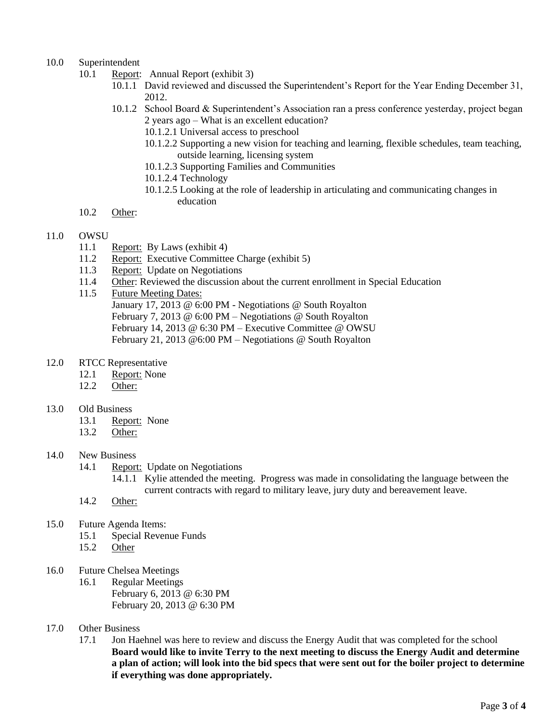# 10.0 Superintendent

- 10.1 Report: Annual Report (exhibit 3)
	- 10.1.1 David reviewed and discussed the Superintendent's Report for the Year Ending December 31, 2012.
	- 10.1.2 School Board & Superintendent's Association ran a press conference yesterday, project began 2 years ago – What is an excellent education?
		- 10.1.2.1 Universal access to preschool
		- 10.1.2.2 Supporting a new vision for teaching and learning, flexible schedules, team teaching, outside learning, licensing system
		- 10.1.2.3 Supporting Families and Communities
		- 10.1.2.4 Technology
		- 10.1.2.5 Looking at the role of leadership in articulating and communicating changes in education
- 10.2 Other:

# 11.0 OWSU

- 11.1 Report: By Laws (exhibit 4)
- 11.2 Report: Executive Committee Charge (exhibit 5)
- 11.3 Report: Update on Negotiations
- 11.4 Other: Reviewed the discussion about the current enrollment in Special Education
- 11.5 Future Meeting Dates: January 17, 2013 @ 6:00 PM - Negotiations @ South Royalton February 7, 2013 @ 6:00 PM – Negotiations @ South Royalton February 14, 2013 @ 6:30 PM – Executive Committee @ OWSU February 21, 2013 @6:00 PM – Negotiations @ South Royalton
- 12.0 RTCC Representative
	- 12.1 Report: None
	- 12.2 Other:
- 13.0 Old Business
	- 13.1 Report: None
	- 13.2 Other:

#### 14.0 New Business

14.1 Report: Update on Negotiations

14.1.1 Kylie attended the meeting. Progress was made in consolidating the language between the current contracts with regard to military leave, jury duty and bereavement leave.

- 14.2 Other:
- 15.0 Future Agenda Items:
	- 15.1 Special Revenue Funds
	- 15.2 Other
- 16.0 Future Chelsea Meetings
	- 16.1 Regular Meetings February 6, 2013 @ 6:30 PM February 20, 2013 @ 6:30 PM
- 17.0 Other Business
	- 17.1 Jon Haehnel was here to review and discuss the Energy Audit that was completed for the school **Board would like to invite Terry to the next meeting to discuss the Energy Audit and determine a plan of action; will look into the bid specs that were sent out for the boiler project to determine if everything was done appropriately.**